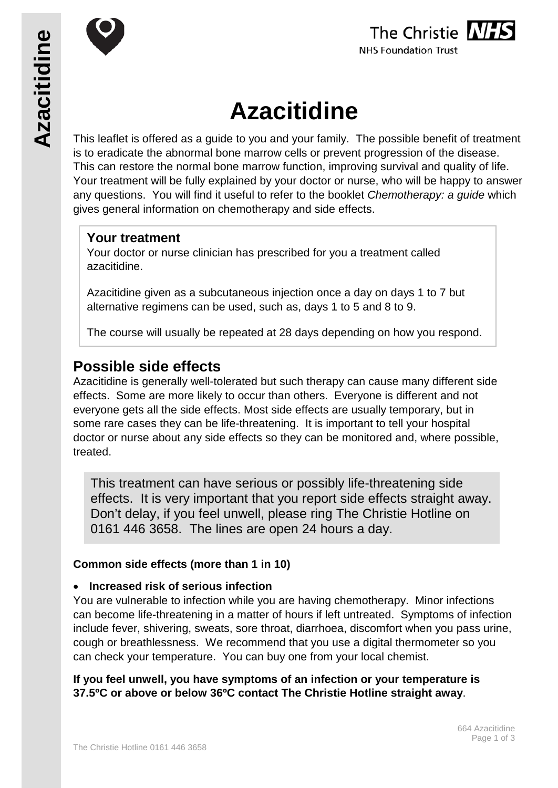





# **Azacitidine**

This leaflet is offered as a guide to you and your family. The possible benefit of treatment is to eradicate the abnormal bone marrow cells or prevent progression of the disease. This can restore the normal bone marrow function, improving survival and quality of life. Your treatment will be fully explained by your doctor or nurse, who will be happy to answer any questions. You will find it useful to refer to the booklet *Chemotherapy: a guide* which gives general information on chemotherapy and side effects.

# **Your treatment**

Your doctor or nurse clinician has prescribed for you a treatment called azacitidine.

Azacitidine given as a subcutaneous injection once a day on days 1 to 7 but alternative regimens can be used, such as, days 1 to 5 and 8 to 9.

The course will usually be repeated at 28 days depending on how you respond.

# **Possible side effects**

Azacitidine is generally well-tolerated but such therapy can cause many different side effects. Some are more likely to occur than others. Everyone is different and not everyone gets all the side effects. Most side effects are usually temporary, but in some rare cases they can be life-threatening. It is important to tell your hospital doctor or nurse about any side effects so they can be monitored and, where possible, treated.

This treatment can have serious or possibly life-threatening side effects. It is very important that you report side effects straight away. Don't delay, if you feel unwell, please ring The Christie Hotline on 0161 446 3658. The lines are open 24 hours a day.

## **Common side effects (more than 1 in 10)**

## • **Increased risk of serious infection**

You are vulnerable to infection while you are having chemotherapy. Minor infections can become life-threatening in a matter of hours if left untreated. Symptoms of infection include fever, shivering, sweats, sore throat, diarrhoea, discomfort when you pass urine, cough or breathlessness. We recommend that you use a digital thermometer so you can check your temperature. You can buy one from your local chemist.

**If you feel unwell, you have symptoms of an infection or your temperature is 37.5ºC or above or below 36ºC contact The Christie Hotline straight away**.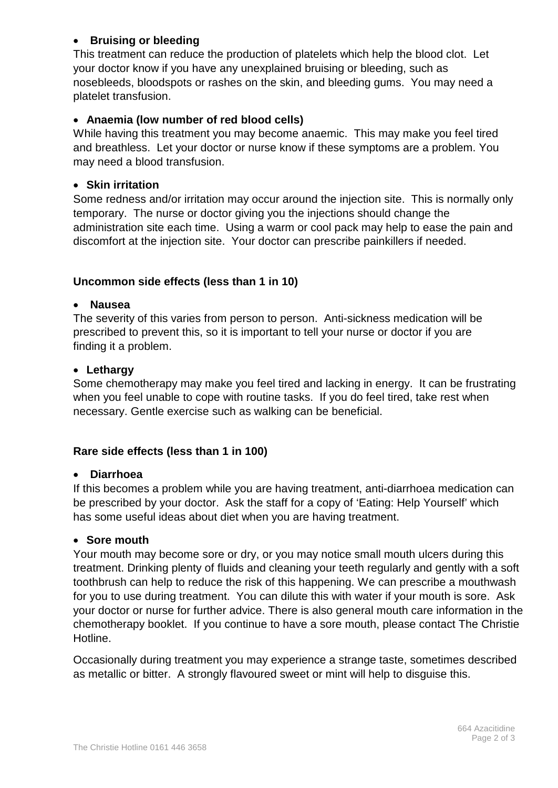## • **Bruising or bleeding**

This treatment can reduce the production of platelets which help the blood clot. Let your doctor know if you have any unexplained bruising or bleeding, such as nosebleeds, bloodspots or rashes on the skin, and bleeding gums. You may need a platelet transfusion.

#### • **Anaemia (low number of red blood cells)**

While having this treatment you may become anaemic. This may make you feel tired and breathless. Let your doctor or nurse know if these symptoms are a problem. You may need a blood transfusion.

#### • **Skin irritation**

Some redness and/or irritation may occur around the injection site. This is normally only temporary. The nurse or doctor giving you the injections should change the administration site each time. Using a warm or cool pack may help to ease the pain and discomfort at the injection site. Your doctor can prescribe painkillers if needed.

#### **Uncommon side effects (less than 1 in 10)**

#### • **Nausea**

The severity of this varies from person to person. Anti-sickness medication will be prescribed to prevent this, so it is important to tell your nurse or doctor if you are finding it a problem.

#### • **Lethargy**

Some chemotherapy may make you feel tired and lacking in energy. It can be frustrating when you feel unable to cope with routine tasks. If you do feel tired, take rest when necessary. Gentle exercise such as walking can be beneficial.

## **Rare side effects (less than 1 in 100)**

#### • **Diarrhoea**

If this becomes a problem while you are having treatment, anti-diarrhoea medication can be prescribed by your doctor. Ask the staff for a copy of 'Eating: Help Yourself' which has some useful ideas about diet when you are having treatment.

#### • **Sore mouth**

Your mouth may become sore or dry, or you may notice small mouth ulcers during this treatment. Drinking plenty of fluids and cleaning your teeth regularly and gently with a soft toothbrush can help to reduce the risk of this happening. We can prescribe a mouthwash for you to use during treatment. You can dilute this with water if your mouth is sore. Ask your doctor or nurse for further advice. There is also general mouth care information in the chemotherapy booklet. If you continue to have a sore mouth, please contact The Christie Hotline.

Occasionally during treatment you may experience a strange taste, sometimes described as metallic or bitter. A strongly flavoured sweet or mint will help to disguise this.